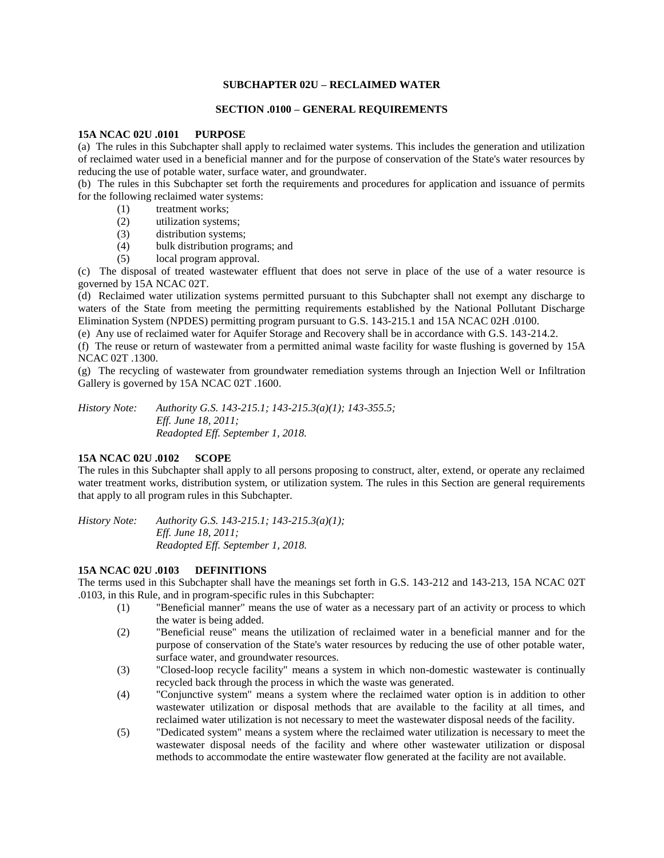### **SUBCHAPTER 02U – RECLAIMED WATER**

### **SECTION .0100 – GENERAL REQUIREMENTS**

#### **15A NCAC 02U .0101 PURPOSE**

(a) The rules in this Subchapter shall apply to reclaimed water systems. This includes the generation and utilization of reclaimed water used in a beneficial manner and for the purpose of conservation of the State's water resources by reducing the use of potable water, surface water, and groundwater.

(b) The rules in this Subchapter set forth the requirements and procedures for application and issuance of permits for the following reclaimed water systems:

- (1) treatment works;
- (2) utilization systems;
- (3) distribution systems;
- (4) bulk distribution programs; and
- (5) local program approval.

(c) The disposal of treated wastewater effluent that does not serve in place of the use of a water resource is governed by 15A NCAC 02T.

(d) Reclaimed water utilization systems permitted pursuant to this Subchapter shall not exempt any discharge to waters of the State from meeting the permitting requirements established by the National Pollutant Discharge Elimination System (NPDES) permitting program pursuant to G.S. 143-215.1 and 15A NCAC 02H .0100.

(e) Any use of reclaimed water for Aquifer Storage and Recovery shall be in accordance with G.S. 143-214.2.

(f) The reuse or return of wastewater from a permitted animal waste facility for waste flushing is governed by 15A NCAC 02T .1300.

(g) The recycling of wastewater from groundwater remediation systems through an Injection Well or Infiltration Gallery is governed by 15A NCAC 02T .1600.

*History Note: Authority G.S. 143-215.1; 143-215.3(a)(1); 143-355.5; Eff. June 18, 2011; Readopted Eff. September 1, 2018.*

## **15A NCAC 02U .0102 SCOPE**

The rules in this Subchapter shall apply to all persons proposing to construct, alter, extend, or operate any reclaimed water treatment works, distribution system, or utilization system. The rules in this Section are general requirements that apply to all program rules in this Subchapter.

*History Note: Authority G.S. 143-215.1; 143-215.3(a)(1); Eff. June 18, 2011; Readopted Eff. September 1, 2018.*

## **15A NCAC 02U .0103 DEFINITIONS**

The terms used in this Subchapter shall have the meanings set forth in G.S. 143-212 and 143-213, 15A NCAC 02T .0103, in this Rule, and in program-specific rules in this Subchapter:

- (1) "Beneficial manner" means the use of water as a necessary part of an activity or process to which the water is being added.
- (2) "Beneficial reuse" means the utilization of reclaimed water in a beneficial manner and for the purpose of conservation of the State's water resources by reducing the use of other potable water, surface water, and groundwater resources.
- (3) "Closed-loop recycle facility" means a system in which non-domestic wastewater is continually recycled back through the process in which the waste was generated.
- (4) "Conjunctive system" means a system where the reclaimed water option is in addition to other wastewater utilization or disposal methods that are available to the facility at all times, and reclaimed water utilization is not necessary to meet the wastewater disposal needs of the facility.
- (5) "Dedicated system" means a system where the reclaimed water utilization is necessary to meet the wastewater disposal needs of the facility and where other wastewater utilization or disposal methods to accommodate the entire wastewater flow generated at the facility are not available.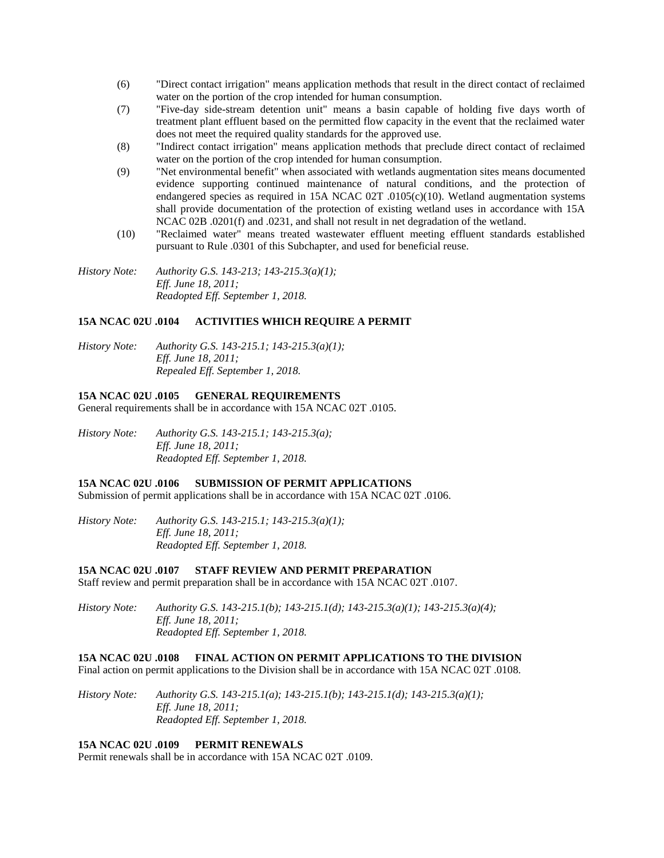- (6) "Direct contact irrigation" means application methods that result in the direct contact of reclaimed water on the portion of the crop intended for human consumption.
- (7) "Five-day side-stream detention unit" means a basin capable of holding five days worth of treatment plant effluent based on the permitted flow capacity in the event that the reclaimed water does not meet the required quality standards for the approved use.
- (8) "Indirect contact irrigation" means application methods that preclude direct contact of reclaimed water on the portion of the crop intended for human consumption.
- (9) "Net environmental benefit" when associated with wetlands augmentation sites means documented evidence supporting continued maintenance of natural conditions, and the protection of endangered species as required in 15A NCAC 02T .0105(c)(10). Wetland augmentation systems shall provide documentation of the protection of existing wetland uses in accordance with 15A NCAC 02B .0201(f) and .0231, and shall not result in net degradation of the wetland.
- (10) "Reclaimed water" means treated wastewater effluent meeting effluent standards established pursuant to Rule .0301 of this Subchapter, and used for beneficial reuse.

*History Note: Authority G.S. 143-213; 143-215.3(a)(1); Eff. June 18, 2011; Readopted Eff. September 1, 2018.*

### **15A NCAC 02U .0104 ACTIVITIES WHICH REQUIRE A PERMIT**

*History Note: Authority G.S. 143-215.1; 143-215.3(a)(1); Eff. June 18, 2011; Repealed Eff. September 1, 2018.*

### **15A NCAC 02U .0105 GENERAL REQUIREMENTS**

General requirements shall be in accordance with 15A NCAC 02T .0105.

*History Note: Authority G.S. 143-215.1; 143-215.3(a); Eff. June 18, 2011; Readopted Eff. September 1, 2018.*

#### **15A NCAC 02U .0106 SUBMISSION OF PERMIT APPLICATIONS**

Submission of permit applications shall be in accordance with 15A NCAC 02T .0106.

*History Note: Authority G.S. 143-215.1; 143-215.3(a)(1); Eff. June 18, 2011; Readopted Eff. September 1, 2018.*

#### **15A NCAC 02U .0107 STAFF REVIEW AND PERMIT PREPARATION**

Staff review and permit preparation shall be in accordance with 15A NCAC 02T .0107.

*History Note: Authority G.S. 143-215.1(b); 143-215.1(d); 143-215.3(a)(1); 143-215.3(a)(4); Eff. June 18, 2011; Readopted Eff. September 1, 2018.*

# **15A NCAC 02U .0108 FINAL ACTION ON PERMIT APPLICATIONS TO THE DIVISION**

Final action on permit applications to the Division shall be in accordance with 15A NCAC 02T .0108.

*History Note: Authority G.S. 143-215.1(a); 143-215.1(b); 143-215.1(d); 143-215.3(a)(1); Eff. June 18, 2011; Readopted Eff. September 1, 2018.*

## **15A NCAC 02U .0109 PERMIT RENEWALS**

Permit renewals shall be in accordance with 15A NCAC 02T .0109.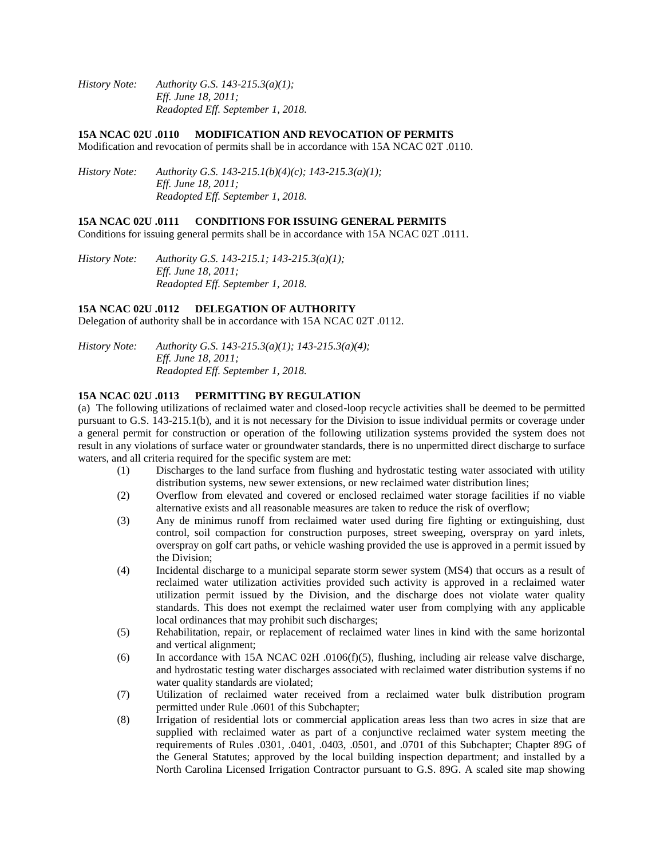*History Note: Authority G.S. 143-215.3(a)(1); Eff. June 18, 2011; Readopted Eff. September 1, 2018.*

#### **15A NCAC 02U .0110 MODIFICATION AND REVOCATION OF PERMITS**

Modification and revocation of permits shall be in accordance with 15A NCAC 02T .0110.

*History Note: Authority G.S. 143-215.1(b)(4)(c); 143-215.3(a)(1); Eff. June 18, 2011; Readopted Eff. September 1, 2018.*

#### **15A NCAC 02U .0111 CONDITIONS FOR ISSUING GENERAL PERMITS**

Conditions for issuing general permits shall be in accordance with 15A NCAC 02T .0111.

*History Note: Authority G.S. 143-215.1; 143-215.3(a)(1); Eff. June 18, 2011; Readopted Eff. September 1, 2018.*

### **15A NCAC 02U .0112 DELEGATION OF AUTHORITY**

Delegation of authority shall be in accordance with 15A NCAC 02T .0112.

*History Note: Authority G.S. 143-215.3(a)(1); 143-215.3(a)(4); Eff. June 18, 2011; Readopted Eff. September 1, 2018.*

# **15A NCAC 02U .0113 PERMITTING BY REGULATION**

(a) The following utilizations of reclaimed water and closed-loop recycle activities shall be deemed to be permitted pursuant to G.S. 143-215.1(b), and it is not necessary for the Division to issue individual permits or coverage under a general permit for construction or operation of the following utilization systems provided the system does not result in any violations of surface water or groundwater standards, there is no unpermitted direct discharge to surface waters, and all criteria required for the specific system are met:

- (1) Discharges to the land surface from flushing and hydrostatic testing water associated with utility distribution systems, new sewer extensions, or new reclaimed water distribution lines;
- (2) Overflow from elevated and covered or enclosed reclaimed water storage facilities if no viable alternative exists and all reasonable measures are taken to reduce the risk of overflow;
- (3) Any de minimus runoff from reclaimed water used during fire fighting or extinguishing, dust control, soil compaction for construction purposes, street sweeping, overspray on yard inlets, overspray on golf cart paths, or vehicle washing provided the use is approved in a permit issued by the Division;
- (4) Incidental discharge to a municipal separate storm sewer system (MS4) that occurs as a result of reclaimed water utilization activities provided such activity is approved in a reclaimed water utilization permit issued by the Division, and the discharge does not violate water quality standards. This does not exempt the reclaimed water user from complying with any applicable local ordinances that may prohibit such discharges;
- (5) Rehabilitation, repair, or replacement of reclaimed water lines in kind with the same horizontal and vertical alignment;
- (6) In accordance with 15A NCAC 02H .0106(f)(5), flushing, including air release valve discharge, and hydrostatic testing water discharges associated with reclaimed water distribution systems if no water quality standards are violated;
- (7) Utilization of reclaimed water received from a reclaimed water bulk distribution program permitted under Rule .0601 of this Subchapter;
- (8) Irrigation of residential lots or commercial application areas less than two acres in size that are supplied with reclaimed water as part of a conjunctive reclaimed water system meeting the requirements of Rules .0301, .0401, .0403, .0501, and .0701 of this Subchapter; Chapter 89G of the General Statutes; approved by the local building inspection department; and installed by a North Carolina Licensed Irrigation Contractor pursuant to G.S. 89G. A scaled site map showing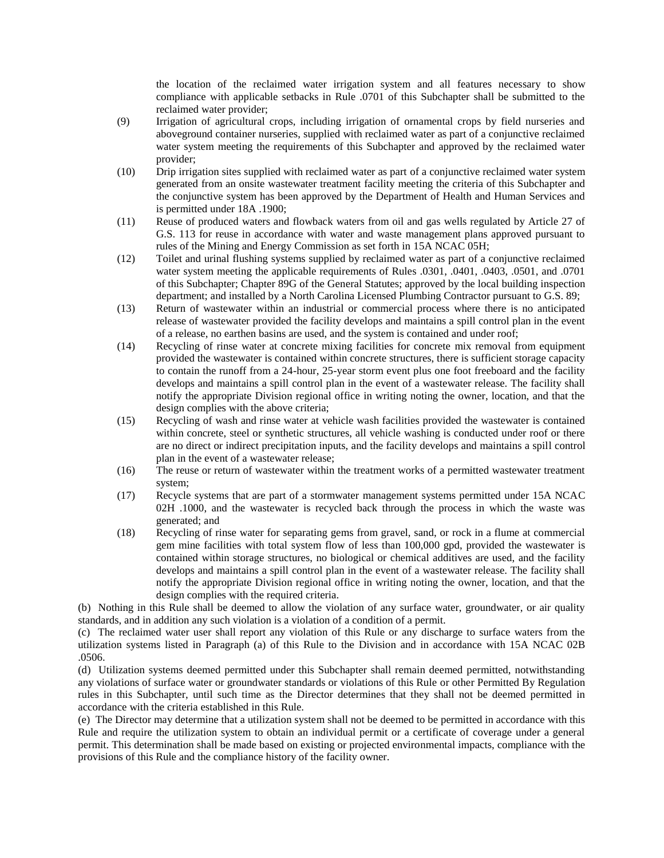the location of the reclaimed water irrigation system and all features necessary to show compliance with applicable setbacks in Rule .0701 of this Subchapter shall be submitted to the reclaimed water provider;

- (9) Irrigation of agricultural crops, including irrigation of ornamental crops by field nurseries and aboveground container nurseries, supplied with reclaimed water as part of a conjunctive reclaimed water system meeting the requirements of this Subchapter and approved by the reclaimed water provider;
- (10) Drip irrigation sites supplied with reclaimed water as part of a conjunctive reclaimed water system generated from an onsite wastewater treatment facility meeting the criteria of this Subchapter and the conjunctive system has been approved by the Department of Health and Human Services and is permitted under 18A .1900;
- (11) Reuse of produced waters and flowback waters from oil and gas wells regulated by Article 27 of G.S. 113 for reuse in accordance with water and waste management plans approved pursuant to rules of the Mining and Energy Commission as set forth in 15A NCAC 05H;
- (12) Toilet and urinal flushing systems supplied by reclaimed water as part of a conjunctive reclaimed water system meeting the applicable requirements of Rules .0301, .0401, .0403, .0501, and .0701 of this Subchapter; Chapter 89G of the General Statutes; approved by the local building inspection department; and installed by a North Carolina Licensed Plumbing Contractor pursuant to G.S. 89;
- (13) Return of wastewater within an industrial or commercial process where there is no anticipated release of wastewater provided the facility develops and maintains a spill control plan in the event of a release, no earthen basins are used, and the system is contained and under roof;
- (14) Recycling of rinse water at concrete mixing facilities for concrete mix removal from equipment provided the wastewater is contained within concrete structures, there is sufficient storage capacity to contain the runoff from a 24-hour, 25-year storm event plus one foot freeboard and the facility develops and maintains a spill control plan in the event of a wastewater release. The facility shall notify the appropriate Division regional office in writing noting the owner, location, and that the design complies with the above criteria;
- (15) Recycling of wash and rinse water at vehicle wash facilities provided the wastewater is contained within concrete, steel or synthetic structures, all vehicle washing is conducted under roof or there are no direct or indirect precipitation inputs, and the facility develops and maintains a spill control plan in the event of a wastewater release;
- (16) The reuse or return of wastewater within the treatment works of a permitted wastewater treatment system;
- (17) Recycle systems that are part of a stormwater management systems permitted under 15A NCAC 02H .1000, and the wastewater is recycled back through the process in which the waste was generated; and
- (18) Recycling of rinse water for separating gems from gravel, sand, or rock in a flume at commercial gem mine facilities with total system flow of less than 100,000 gpd, provided the wastewater is contained within storage structures, no biological or chemical additives are used, and the facility develops and maintains a spill control plan in the event of a wastewater release. The facility shall notify the appropriate Division regional office in writing noting the owner, location, and that the design complies with the required criteria.

(b) Nothing in this Rule shall be deemed to allow the violation of any surface water, groundwater, or air quality standards, and in addition any such violation is a violation of a condition of a permit.

(c) The reclaimed water user shall report any violation of this Rule or any discharge to surface waters from the utilization systems listed in Paragraph (a) of this Rule to the Division and in accordance with 15A NCAC 02B .0506.

(d) Utilization systems deemed permitted under this Subchapter shall remain deemed permitted, notwithstanding any violations of surface water or groundwater standards or violations of this Rule or other Permitted By Regulation rules in this Subchapter, until such time as the Director determines that they shall not be deemed permitted in accordance with the criteria established in this Rule.

(e) The Director may determine that a utilization system shall not be deemed to be permitted in accordance with this Rule and require the utilization system to obtain an individual permit or a certificate of coverage under a general permit. This determination shall be made based on existing or projected environmental impacts, compliance with the provisions of this Rule and the compliance history of the facility owner.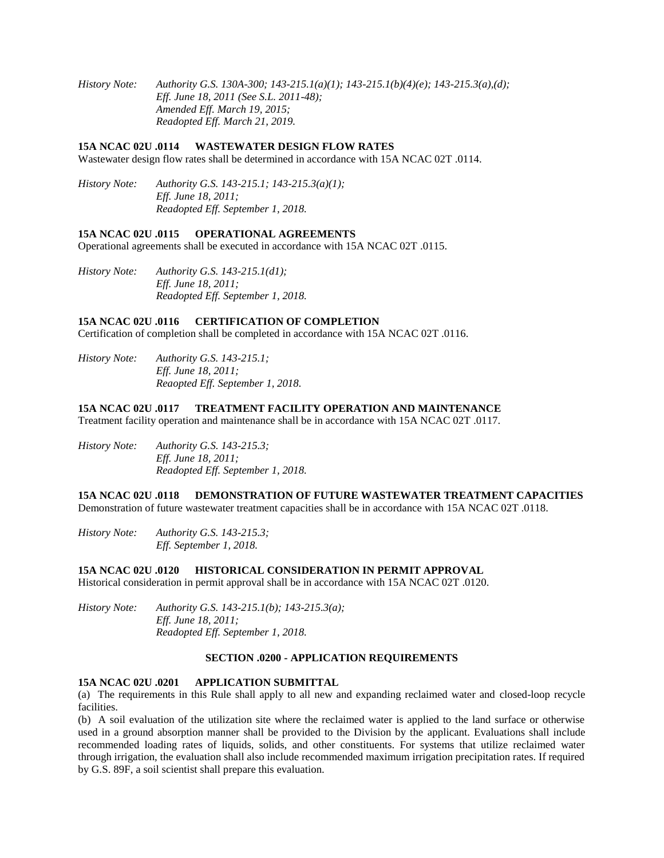*History Note: Authority G.S. 130A-300; 143-215.1(a)(1); 143-215.1(b)(4)(e); 143-215.3(a),(d); Eff. June 18, 2011 (See S.L. 2011-48); Amended Eff. March 19, 2015; Readopted Eff. March 21, 2019.*

#### **15A NCAC 02U .0114 WASTEWATER DESIGN FLOW RATES**

Wastewater design flow rates shall be determined in accordance with 15A NCAC 02T .0114.

*History Note: Authority G.S. 143-215.1; 143-215.3(a)(1); Eff. June 18, 2011; Readopted Eff. September 1, 2018.*

#### **15A NCAC 02U .0115 OPERATIONAL AGREEMENTS**

Operational agreements shall be executed in accordance with 15A NCAC 02T .0115.

*History Note: Authority G.S. 143-215.1(d1); Eff. June 18, 2011; Readopted Eff. September 1, 2018.*

## **15A NCAC 02U .0116 CERTIFICATION OF COMPLETION**

Certification of completion shall be completed in accordance with 15A NCAC 02T .0116.

*History Note: Authority G.S. 143-215.1; Eff. June 18, 2011; Reaopted Eff. September 1, 2018.*

#### **15A NCAC 02U .0117 TREATMENT FACILITY OPERATION AND MAINTENANCE**

Treatment facility operation and maintenance shall be in accordance with 15A NCAC 02T .0117.

*History Note: Authority G.S. 143-215.3; Eff. June 18, 2011; Readopted Eff. September 1, 2018.*

### **15A NCAC 02U .0118 DEMONSTRATION OF FUTURE WASTEWATER TREATMENT CAPACITIES**

Demonstration of future wastewater treatment capacities shall be in accordance with 15A NCAC 02T .0118.

*History Note: Authority G.S. 143-215.3; Eff. September 1, 2018.*

## **15A NCAC 02U .0120 HISTORICAL CONSIDERATION IN PERMIT APPROVAL**

Historical consideration in permit approval shall be in accordance with 15A NCAC 02T .0120.

*History Note: Authority G.S. 143-215.1(b); 143-215.3(a); Eff. June 18, 2011; Readopted Eff. September 1, 2018.*

#### **SECTION .0200 - APPLICATION REQUIREMENTS**

## **15A NCAC 02U .0201 APPLICATION SUBMITTAL**

(a) The requirements in this Rule shall apply to all new and expanding reclaimed water and closed-loop recycle facilities.

(b) A soil evaluation of the utilization site where the reclaimed water is applied to the land surface or otherwise used in a ground absorption manner shall be provided to the Division by the applicant. Evaluations shall include recommended loading rates of liquids, solids, and other constituents. For systems that utilize reclaimed water through irrigation, the evaluation shall also include recommended maximum irrigation precipitation rates. If required by G.S. 89F, a soil scientist shall prepare this evaluation.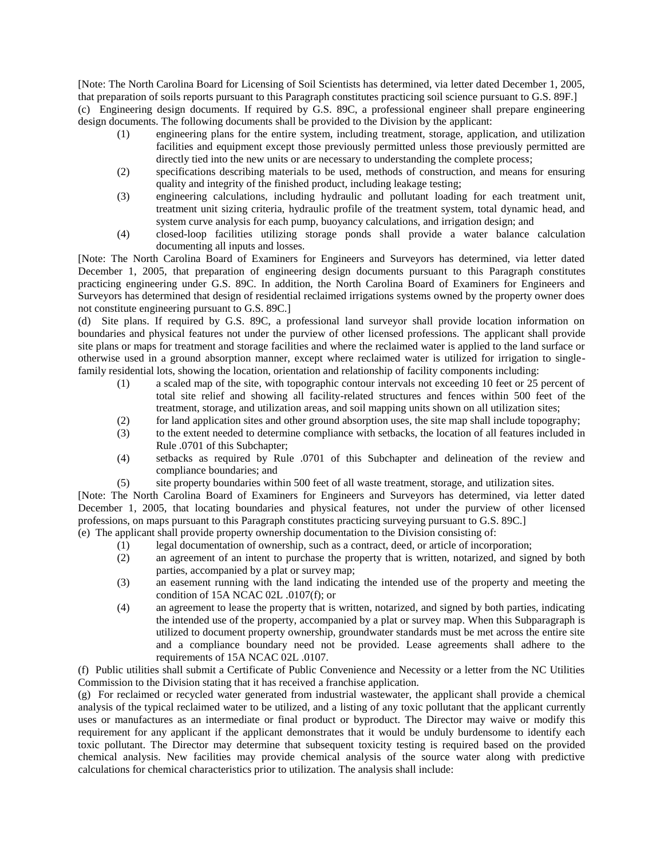[Note: The North Carolina Board for Licensing of Soil Scientists has determined, via letter dated December 1, 2005, that preparation of soils reports pursuant to this Paragraph constitutes practicing soil science pursuant to G.S. 89F.] (c) Engineering design documents. If required by G.S. 89C, a professional engineer shall prepare engineering design documents. The following documents shall be provided to the Division by the applicant:

- (1) engineering plans for the entire system, including treatment, storage, application, and utilization facilities and equipment except those previously permitted unless those previously permitted are directly tied into the new units or are necessary to understanding the complete process;
- (2) specifications describing materials to be used, methods of construction, and means for ensuring quality and integrity of the finished product, including leakage testing;
- (3) engineering calculations, including hydraulic and pollutant loading for each treatment unit, treatment unit sizing criteria, hydraulic profile of the treatment system, total dynamic head, and system curve analysis for each pump, buoyancy calculations, and irrigation design; and
- (4) closed-loop facilities utilizing storage ponds shall provide a water balance calculation documenting all inputs and losses.

[Note: The North Carolina Board of Examiners for Engineers and Surveyors has determined, via letter dated December 1, 2005, that preparation of engineering design documents pursuant to this Paragraph constitutes practicing engineering under G.S. 89C. In addition, the North Carolina Board of Examiners for Engineers and Surveyors has determined that design of residential reclaimed irrigations systems owned by the property owner does not constitute engineering pursuant to G.S. 89C.]

(d) Site plans. If required by G.S. 89C, a professional land surveyor shall provide location information on boundaries and physical features not under the purview of other licensed professions. The applicant shall provide site plans or maps for treatment and storage facilities and where the reclaimed water is applied to the land surface or otherwise used in a ground absorption manner, except where reclaimed water is utilized for irrigation to singlefamily residential lots, showing the location, orientation and relationship of facility components including:

- (1) a scaled map of the site, with topographic contour intervals not exceeding 10 feet or 25 percent of total site relief and showing all facility-related structures and fences within 500 feet of the treatment, storage, and utilization areas, and soil mapping units shown on all utilization sites;
- (2) for land application sites and other ground absorption uses, the site map shall include topography;
- (3) to the extent needed to determine compliance with setbacks, the location of all features included in Rule .0701 of this Subchapter;
- (4) setbacks as required by Rule .0701 of this Subchapter and delineation of the review and compliance boundaries; and
- (5) site property boundaries within 500 feet of all waste treatment, storage, and utilization sites.

[Note: The North Carolina Board of Examiners for Engineers and Surveyors has determined, via letter dated December 1, 2005, that locating boundaries and physical features, not under the purview of other licensed professions, on maps pursuant to this Paragraph constitutes practicing surveying pursuant to G.S. 89C.] (e) The applicant shall provide property ownership documentation to the Division consisting of:

- (1) legal documentation of ownership, such as a contract, deed, or article of incorporation;
- (2) an agreement of an intent to purchase the property that is written, notarized, and signed by both parties, accompanied by a plat or survey map;
- (3) an easement running with the land indicating the intended use of the property and meeting the condition of 15A NCAC 02L .0107(f); or
- (4) an agreement to lease the property that is written, notarized, and signed by both parties, indicating the intended use of the property, accompanied by a plat or survey map. When this Subparagraph is utilized to document property ownership, groundwater standards must be met across the entire site and a compliance boundary need not be provided. Lease agreements shall adhere to the requirements of 15A NCAC 02L .0107.

(f) Public utilities shall submit a Certificate of Public Convenience and Necessity or a letter from the NC Utilities Commission to the Division stating that it has received a franchise application.

(g) For reclaimed or recycled water generated from industrial wastewater, the applicant shall provide a chemical analysis of the typical reclaimed water to be utilized, and a listing of any toxic pollutant that the applicant currently uses or manufactures as an intermediate or final product or byproduct. The Director may waive or modify this requirement for any applicant if the applicant demonstrates that it would be unduly burdensome to identify each toxic pollutant. The Director may determine that subsequent toxicity testing is required based on the provided chemical analysis. New facilities may provide chemical analysis of the source water along with predictive calculations for chemical characteristics prior to utilization. The analysis shall include: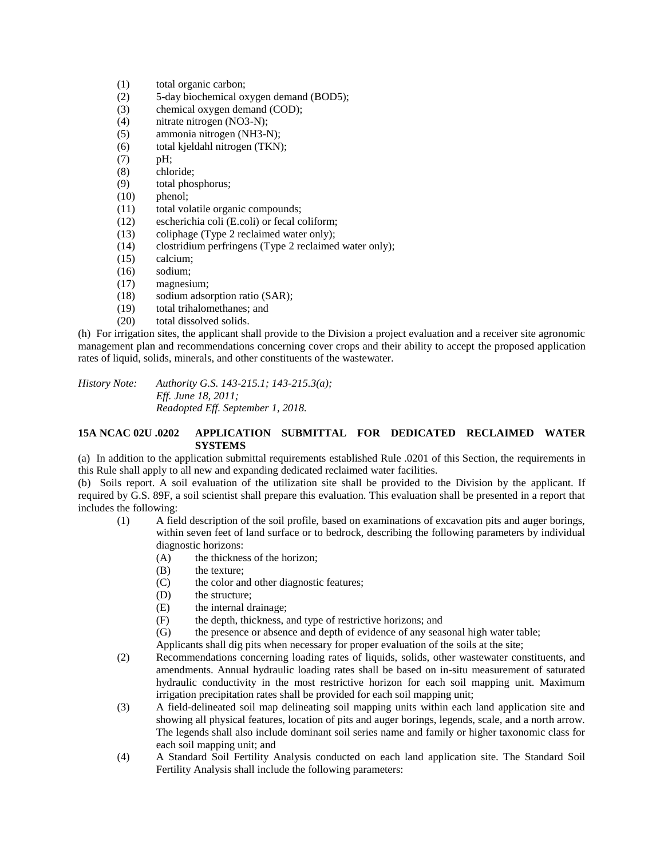- (1) total organic carbon;
- (2) 5-day biochemical oxygen demand (BOD5);
- (3) chemical oxygen demand (COD);
- (4) nitrate nitrogen (NO3-N);
- (5) ammonia nitrogen (NH3-N);
- (6) total kjeldahl nitrogen (TKN);
- (7) pH;
- (8) chloride;
- (9) total phosphorus;
- (10) phenol;
- (11) total volatile organic compounds;
- (12) escherichia coli (E.coli) or fecal coliform;
- (13) coliphage (Type 2 reclaimed water only);
- (14) clostridium perfringens (Type 2 reclaimed water only);
- (15) calcium;
- (16) sodium;
- (17) magnesium;
- (18) sodium adsorption ratio (SAR);
- (19) total trihalomethanes; and
- (20) total dissolved solids.

(h) For irrigation sites, the applicant shall provide to the Division a project evaluation and a receiver site agronomic management plan and recommendations concerning cover crops and their ability to accept the proposed application rates of liquid, solids, minerals, and other constituents of the wastewater.

*History Note: Authority G.S. 143-215.1; 143-215.3(a); Eff. June 18, 2011; Readopted Eff. September 1, 2018.*

### **15A NCAC 02U .0202 APPLICATION SUBMITTAL FOR DEDICATED RECLAIMED WATER SYSTEMS**

(a) In addition to the application submittal requirements established Rule .0201 of this Section, the requirements in this Rule shall apply to all new and expanding dedicated reclaimed water facilities.

(b) Soils report. A soil evaluation of the utilization site shall be provided to the Division by the applicant. If required by G.S. 89F, a soil scientist shall prepare this evaluation. This evaluation shall be presented in a report that includes the following:

- (1) A field description of the soil profile, based on examinations of excavation pits and auger borings, within seven feet of land surface or to bedrock, describing the following parameters by individual diagnostic horizons:
	- (A) the thickness of the horizon;
	- (B) the texture;
	- (C) the color and other diagnostic features;
	- (D) the structure;
	- (E) the internal drainage;
	- (F) the depth, thickness, and type of restrictive horizons; and
	- (G) the presence or absence and depth of evidence of any seasonal high water table;
	- Applicants shall dig pits when necessary for proper evaluation of the soils at the site;
- (2) Recommendations concerning loading rates of liquids, solids, other wastewater constituents, and amendments. Annual hydraulic loading rates shall be based on in-situ measurement of saturated hydraulic conductivity in the most restrictive horizon for each soil mapping unit. Maximum irrigation precipitation rates shall be provided for each soil mapping unit;
- (3) A field-delineated soil map delineating soil mapping units within each land application site and showing all physical features, location of pits and auger borings, legends, scale, and a north arrow. The legends shall also include dominant soil series name and family or higher taxonomic class for each soil mapping unit; and
- (4) A Standard Soil Fertility Analysis conducted on each land application site. The Standard Soil Fertility Analysis shall include the following parameters: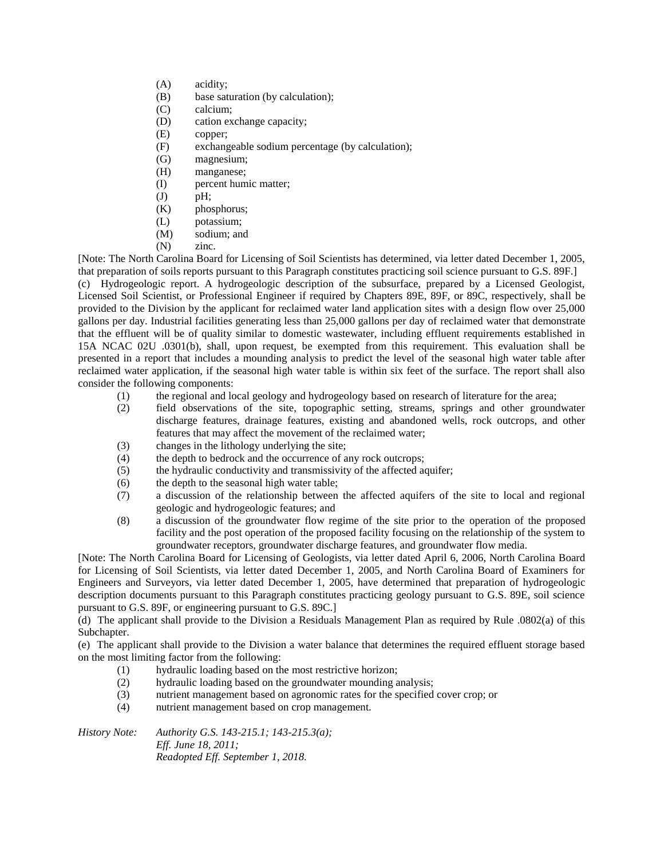- (A) acidity;
- (B) base saturation (by calculation);
- (C) calcium;
- (D) cation exchange capacity;
- (E) copper;
- (F) exchangeable sodium percentage (by calculation);
- (G) magnesium;
- (H) manganese;
- (I) percent humic matter;
- (J) pH;
- (K) phosphorus;
- (L) potassium;
- (M) sodium; and
- (N) zinc.

[Note: The North Carolina Board for Licensing of Soil Scientists has determined, via letter dated December 1, 2005, that preparation of soils reports pursuant to this Paragraph constitutes practicing soil science pursuant to G.S. 89F.]

(c) Hydrogeologic report. A hydrogeologic description of the subsurface, prepared by a Licensed Geologist, Licensed Soil Scientist, or Professional Engineer if required by Chapters 89E, 89F, or 89C, respectively, shall be provided to the Division by the applicant for reclaimed water land application sites with a design flow over 25,000 gallons per day. Industrial facilities generating less than 25,000 gallons per day of reclaimed water that demonstrate that the effluent will be of quality similar to domestic wastewater, including effluent requirements established in 15A NCAC 02U .0301(b), shall, upon request, be exempted from this requirement. This evaluation shall be presented in a report that includes a mounding analysis to predict the level of the seasonal high water table after reclaimed water application, if the seasonal high water table is within six feet of the surface. The report shall also consider the following components:

- (1) the regional and local geology and hydrogeology based on research of literature for the area;
- (2) field observations of the site, topographic setting, streams, springs and other groundwater discharge features, drainage features, existing and abandoned wells, rock outcrops, and other features that may affect the movement of the reclaimed water;
- (3) changes in the lithology underlying the site;
- (4) the depth to bedrock and the occurrence of any rock outcrops;
- (5) the hydraulic conductivity and transmissivity of the affected aquifer;
- (6) the depth to the seasonal high water table;
- (7) a discussion of the relationship between the affected aquifers of the site to local and regional geologic and hydrogeologic features; and
- (8) a discussion of the groundwater flow regime of the site prior to the operation of the proposed facility and the post operation of the proposed facility focusing on the relationship of the system to groundwater receptors, groundwater discharge features, and groundwater flow media.

[Note: The North Carolina Board for Licensing of Geologists, via letter dated April 6, 2006, North Carolina Board for Licensing of Soil Scientists, via letter dated December 1, 2005, and North Carolina Board of Examiners for Engineers and Surveyors, via letter dated December 1, 2005, have determined that preparation of hydrogeologic description documents pursuant to this Paragraph constitutes practicing geology pursuant to G.S. 89E, soil science pursuant to G.S. 89F, or engineering pursuant to G.S. 89C.]

(d) The applicant shall provide to the Division a Residuals Management Plan as required by Rule .0802(a) of this Subchapter.

(e) The applicant shall provide to the Division a water balance that determines the required effluent storage based on the most limiting factor from the following:

- (1) hydraulic loading based on the most restrictive horizon;
- (2) hydraulic loading based on the groundwater mounding analysis;
- (3) nutrient management based on agronomic rates for the specified cover crop; or
- (4) nutrient management based on crop management.

*History Note: Authority G.S. 143-215.1; 143-215.3(a); Eff. June 18, 2011; Readopted Eff. September 1, 2018.*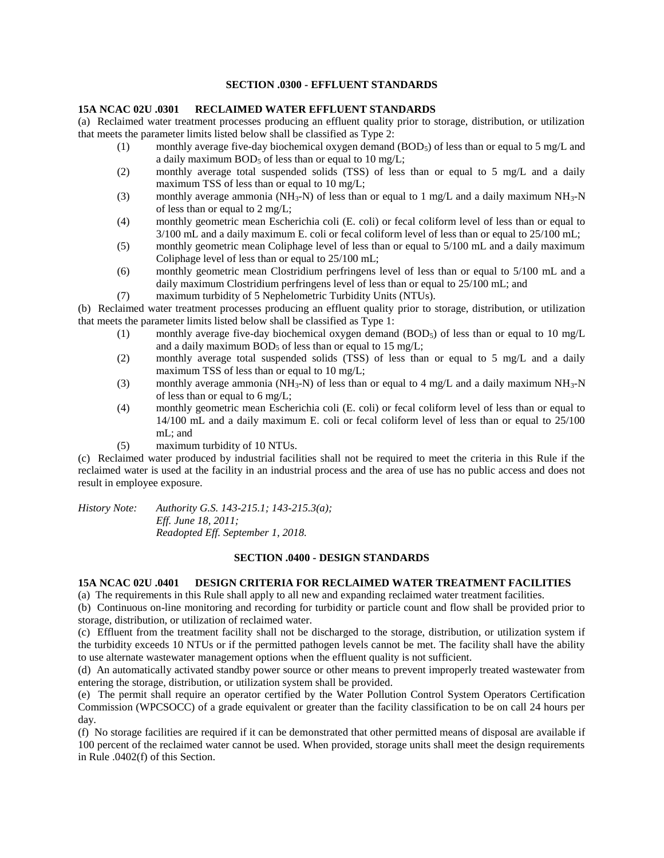### **SECTION .0300 - EFFLUENT STANDARDS**

#### **15A NCAC 02U .0301 RECLAIMED WATER EFFLUENT STANDARDS**

(a) Reclaimed water treatment processes producing an effluent quality prior to storage, distribution, or utilization that meets the parameter limits listed below shall be classified as Type 2:

- (1) monthly average five-day biochemical oxygen demand  $(BOD<sub>5</sub>)$  of less than or equal to 5 mg/L and a daily maximum  $BOD<sub>5</sub>$  of less than or equal to 10 mg/L;
- (2) monthly average total suspended solids (TSS) of less than or equal to 5 mg/L and a daily maximum TSS of less than or equal to 10 mg/L;
- (3) monthly average ammonia (NH<sub>3</sub>-N) of less than or equal to 1 mg/L and a daily maximum NH<sub>3</sub>-N of less than or equal to 2 mg/L;
- (4) monthly geometric mean Escherichia coli (E. coli) or fecal coliform level of less than or equal to 3/100 mL and a daily maximum E. coli or fecal coliform level of less than or equal to 25/100 mL;
- (5) monthly geometric mean Coliphage level of less than or equal to 5/100 mL and a daily maximum Coliphage level of less than or equal to 25/100 mL;
- (6) monthly geometric mean Clostridium perfringens level of less than or equal to 5/100 mL and a daily maximum Clostridium perfringens level of less than or equal to 25/100 mL; and
- (7) maximum turbidity of 5 Nephelometric Turbidity Units (NTUs).

(b) Reclaimed water treatment processes producing an effluent quality prior to storage, distribution, or utilization that meets the parameter limits listed below shall be classified as Type 1:

- (1) monthly average five-day biochemical oxygen demand (BOD5) of less than or equal to 10 mg/L and a daily maximum  $BOD_5$  of less than or equal to 15 mg/L;
- (2) monthly average total suspended solids (TSS) of less than or equal to 5 mg/L and a daily maximum TSS of less than or equal to 10 mg/L;
- (3) monthly average ammonia ( $NH_3-N$ ) of less than or equal to 4 mg/L and a daily maximum  $NH_3-N$ of less than or equal to 6 mg/L;
- (4) monthly geometric mean Escherichia coli (E. coli) or fecal coliform level of less than or equal to 14/100 mL and a daily maximum E. coli or fecal coliform level of less than or equal to 25/100 mL; and
- (5) maximum turbidity of 10 NTUs.

(c) Reclaimed water produced by industrial facilities shall not be required to meet the criteria in this Rule if the reclaimed water is used at the facility in an industrial process and the area of use has no public access and does not result in employee exposure.

*History Note: Authority G.S. 143-215.1; 143-215.3(a); Eff. June 18, 2011; Readopted Eff. September 1, 2018.*

#### **SECTION .0400 - DESIGN STANDARDS**

## **15A NCAC 02U .0401 DESIGN CRITERIA FOR RECLAIMED WATER TREATMENT FACILITIES**

(a) The requirements in this Rule shall apply to all new and expanding reclaimed water treatment facilities.

(b) Continuous on-line monitoring and recording for turbidity or particle count and flow shall be provided prior to storage, distribution, or utilization of reclaimed water.

(c) Effluent from the treatment facility shall not be discharged to the storage, distribution, or utilization system if the turbidity exceeds 10 NTUs or if the permitted pathogen levels cannot be met. The facility shall have the ability to use alternate wastewater management options when the effluent quality is not sufficient.

(d) An automatically activated standby power source or other means to prevent improperly treated wastewater from entering the storage, distribution, or utilization system shall be provided.

(e) The permit shall require an operator certified by the Water Pollution Control System Operators Certification Commission (WPCSOCC) of a grade equivalent or greater than the facility classification to be on call 24 hours per day.

(f) No storage facilities are required if it can be demonstrated that other permitted means of disposal are available if 100 percent of the reclaimed water cannot be used. When provided, storage units shall meet the design requirements in Rule .0402(f) of this Section.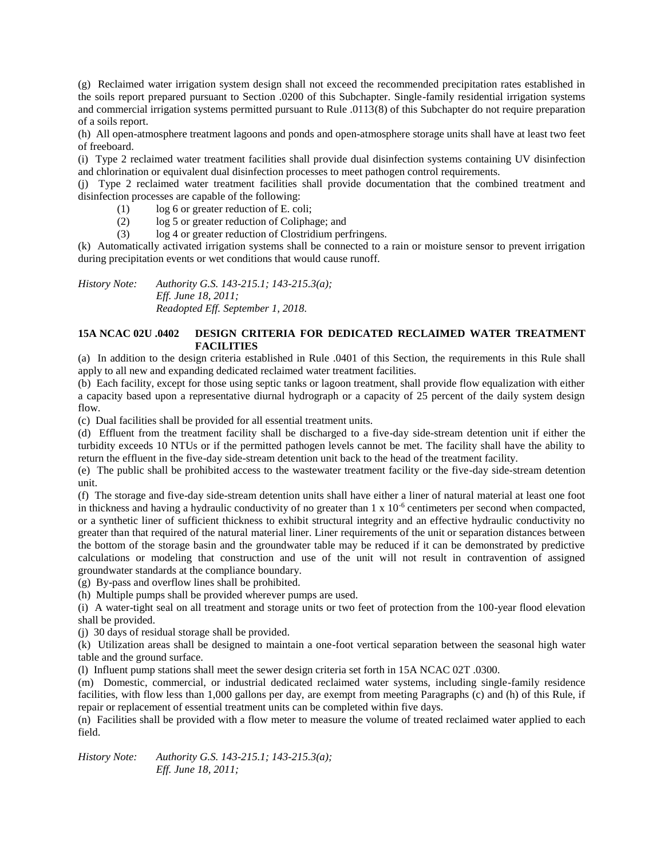(g) Reclaimed water irrigation system design shall not exceed the recommended precipitation rates established in the soils report prepared pursuant to Section .0200 of this Subchapter. Single-family residential irrigation systems and commercial irrigation systems permitted pursuant to Rule .0113(8) of this Subchapter do not require preparation of a soils report.

(h) All open-atmosphere treatment lagoons and ponds and open-atmosphere storage units shall have at least two feet of freeboard.

(i) Type 2 reclaimed water treatment facilities shall provide dual disinfection systems containing UV disinfection and chlorination or equivalent dual disinfection processes to meet pathogen control requirements.

(j) Type 2 reclaimed water treatment facilities shall provide documentation that the combined treatment and disinfection processes are capable of the following:

- (1) log 6 or greater reduction of E. coli;
- (2) log 5 or greater reduction of Coliphage; and
- (3) log 4 or greater reduction of Clostridium perfringens.

(k) Automatically activated irrigation systems shall be connected to a rain or moisture sensor to prevent irrigation during precipitation events or wet conditions that would cause runoff.

*History Note: Authority G.S. 143-215.1; 143-215.3(a); Eff. June 18, 2011; Readopted Eff. September 1, 2018.*

### **15A NCAC 02U .0402 DESIGN CRITERIA FOR DEDICATED RECLAIMED WATER TREATMENT FACILITIES**

(a) In addition to the design criteria established in Rule .0401 of this Section, the requirements in this Rule shall apply to all new and expanding dedicated reclaimed water treatment facilities.

(b) Each facility, except for those using septic tanks or lagoon treatment, shall provide flow equalization with either a capacity based upon a representative diurnal hydrograph or a capacity of 25 percent of the daily system design flow.

(c) Dual facilities shall be provided for all essential treatment units.

(d) Effluent from the treatment facility shall be discharged to a five-day side-stream detention unit if either the turbidity exceeds 10 NTUs or if the permitted pathogen levels cannot be met. The facility shall have the ability to return the effluent in the five-day side-stream detention unit back to the head of the treatment facility.

(e) The public shall be prohibited access to the wastewater treatment facility or the five-day side-stream detention unit.

(f) The storage and five-day side-stream detention units shall have either a liner of natural material at least one foot in thickness and having a hydraulic conductivity of no greater than 1 x 10<sup>-6</sup> centimeters per second when compacted, or a synthetic liner of sufficient thickness to exhibit structural integrity and an effective hydraulic conductivity no greater than that required of the natural material liner. Liner requirements of the unit or separation distances between the bottom of the storage basin and the groundwater table may be reduced if it can be demonstrated by predictive calculations or modeling that construction and use of the unit will not result in contravention of assigned groundwater standards at the compliance boundary.

(g) By-pass and overflow lines shall be prohibited.

(h) Multiple pumps shall be provided wherever pumps are used.

(i) A water-tight seal on all treatment and storage units or two feet of protection from the 100-year flood elevation shall be provided.

(j) 30 days of residual storage shall be provided.

(k) Utilization areas shall be designed to maintain a one-foot vertical separation between the seasonal high water table and the ground surface.

(l) Influent pump stations shall meet the sewer design criteria set forth in 15A NCAC 02T .0300.

(m) Domestic, commercial, or industrial dedicated reclaimed water systems, including single-family residence facilities, with flow less than 1,000 gallons per day, are exempt from meeting Paragraphs (c) and (h) of this Rule, if repair or replacement of essential treatment units can be completed within five days.

(n) Facilities shall be provided with a flow meter to measure the volume of treated reclaimed water applied to each field.

*History Note: Authority G.S. 143-215.1; 143-215.3(a); Eff. June 18, 2011;*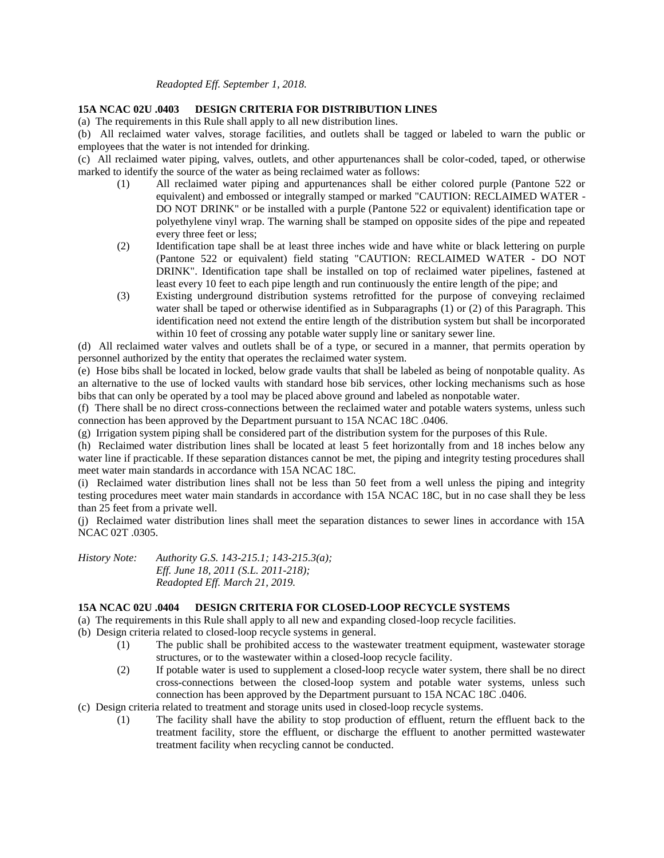### *Readopted Eff. September 1, 2018.*

### **15A NCAC 02U .0403 DESIGN CRITERIA FOR DISTRIBUTION LINES**

(a) The requirements in this Rule shall apply to all new distribution lines.

(b) All reclaimed water valves, storage facilities, and outlets shall be tagged or labeled to warn the public or employees that the water is not intended for drinking.

(c) All reclaimed water piping, valves, outlets, and other appurtenances shall be color-coded, taped, or otherwise marked to identify the source of the water as being reclaimed water as follows:

- (1) All reclaimed water piping and appurtenances shall be either colored purple (Pantone 522 or equivalent) and embossed or integrally stamped or marked "CAUTION: RECLAIMED WATER - DO NOT DRINK" or be installed with a purple (Pantone 522 or equivalent) identification tape or polyethylene vinyl wrap. The warning shall be stamped on opposite sides of the pipe and repeated every three feet or less;
- (2) Identification tape shall be at least three inches wide and have white or black lettering on purple (Pantone 522 or equivalent) field stating "CAUTION: RECLAIMED WATER - DO NOT DRINK". Identification tape shall be installed on top of reclaimed water pipelines, fastened at least every 10 feet to each pipe length and run continuously the entire length of the pipe; and
- (3) Existing underground distribution systems retrofitted for the purpose of conveying reclaimed water shall be taped or otherwise identified as in Subparagraphs (1) or (2) of this Paragraph. This identification need not extend the entire length of the distribution system but shall be incorporated within 10 feet of crossing any potable water supply line or sanitary sewer line.

(d) All reclaimed water valves and outlets shall be of a type, or secured in a manner, that permits operation by personnel authorized by the entity that operates the reclaimed water system.

(e) Hose bibs shall be located in locked, below grade vaults that shall be labeled as being of nonpotable quality. As an alternative to the use of locked vaults with standard hose bib services, other locking mechanisms such as hose bibs that can only be operated by a tool may be placed above ground and labeled as nonpotable water.

(f) There shall be no direct cross-connections between the reclaimed water and potable waters systems, unless such connection has been approved by the Department pursuant to 15A NCAC 18C .0406.

(g) Irrigation system piping shall be considered part of the distribution system for the purposes of this Rule.

(h) Reclaimed water distribution lines shall be located at least 5 feet horizontally from and 18 inches below any water line if practicable. If these separation distances cannot be met, the piping and integrity testing procedures shall meet water main standards in accordance with 15A NCAC 18C.

(i) Reclaimed water distribution lines shall not be less than 50 feet from a well unless the piping and integrity testing procedures meet water main standards in accordance with 15A NCAC 18C, but in no case shall they be less than 25 feet from a private well.

(j) Reclaimed water distribution lines shall meet the separation distances to sewer lines in accordance with 15A NCAC 02T .0305.

*History Note: Authority G.S. 143-215.1; 143-215.3(a); Eff. June 18, 2011 (S.L. 2011-218); Readopted Eff. March 21, 2019.*

## **15A NCAC 02U .0404 DESIGN CRITERIA FOR CLOSED-LOOP RECYCLE SYSTEMS**

(a) The requirements in this Rule shall apply to all new and expanding closed-loop recycle facilities.

(b) Design criteria related to closed-loop recycle systems in general.

- (1) The public shall be prohibited access to the wastewater treatment equipment, wastewater storage structures, or to the wastewater within a closed-loop recycle facility.
- (2) If potable water is used to supplement a closed-loop recycle water system, there shall be no direct cross-connections between the closed-loop system and potable water systems, unless such connection has been approved by the Department pursuant to 15A NCAC 18C .0406.

(c) Design criteria related to treatment and storage units used in closed-loop recycle systems.

(1) The facility shall have the ability to stop production of effluent, return the effluent back to the treatment facility, store the effluent, or discharge the effluent to another permitted wastewater treatment facility when recycling cannot be conducted.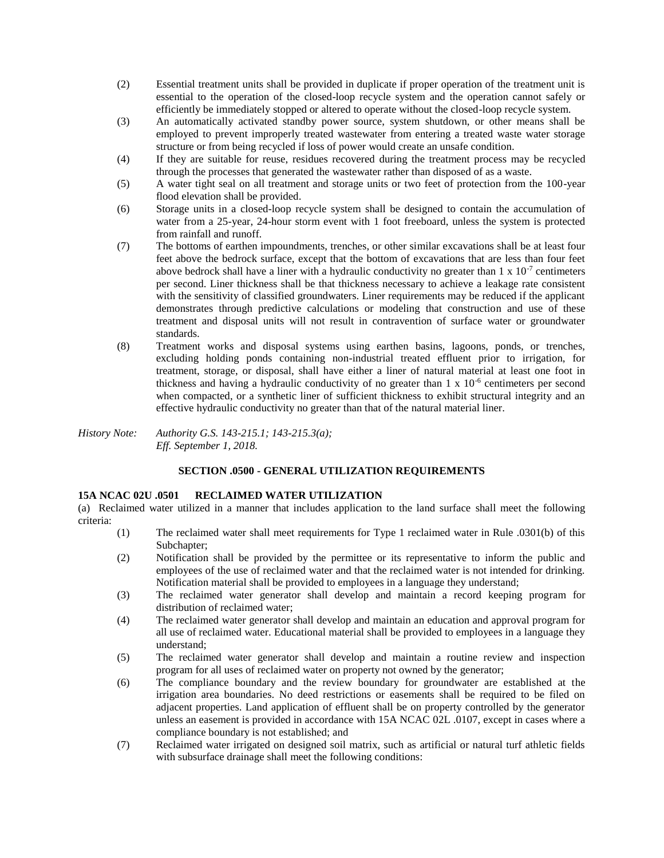- (2) Essential treatment units shall be provided in duplicate if proper operation of the treatment unit is essential to the operation of the closed-loop recycle system and the operation cannot safely or efficiently be immediately stopped or altered to operate without the closed-loop recycle system.
- (3) An automatically activated standby power source, system shutdown, or other means shall be employed to prevent improperly treated wastewater from entering a treated waste water storage structure or from being recycled if loss of power would create an unsafe condition.
- (4) If they are suitable for reuse, residues recovered during the treatment process may be recycled through the processes that generated the wastewater rather than disposed of as a waste.
- (5) A water tight seal on all treatment and storage units or two feet of protection from the 100-year flood elevation shall be provided.
- (6) Storage units in a closed-loop recycle system shall be designed to contain the accumulation of water from a 25-year, 24-hour storm event with 1 foot freeboard, unless the system is protected from rainfall and runoff.
- (7) The bottoms of earthen impoundments, trenches, or other similar excavations shall be at least four feet above the bedrock surface, except that the bottom of excavations that are less than four feet above bedrock shall have a liner with a hydraulic conductivity no greater than  $1 \times 10^{-7}$  centimeters per second. Liner thickness shall be that thickness necessary to achieve a leakage rate consistent with the sensitivity of classified groundwaters. Liner requirements may be reduced if the applicant demonstrates through predictive calculations or modeling that construction and use of these treatment and disposal units will not result in contravention of surface water or groundwater standards.
- (8) Treatment works and disposal systems using earthen basins, lagoons, ponds, or trenches, excluding holding ponds containing non-industrial treated effluent prior to irrigation, for treatment, storage, or disposal, shall have either a liner of natural material at least one foot in thickness and having a hydraulic conductivity of no greater than  $1 \times 10^{-6}$  centimeters per second when compacted, or a synthetic liner of sufficient thickness to exhibit structural integrity and an effective hydraulic conductivity no greater than that of the natural material liner.

*History Note: Authority G.S. 143-215.1; 143-215.3(a); Eff. September 1, 2018.*

# **SECTION .0500 - GENERAL UTILIZATION REQUIREMENTS**

## **15A NCAC 02U .0501 RECLAIMED WATER UTILIZATION**

(a) Reclaimed water utilized in a manner that includes application to the land surface shall meet the following criteria:

- (1) The reclaimed water shall meet requirements for Type 1 reclaimed water in Rule .0301(b) of this Subchapter:
- (2) Notification shall be provided by the permittee or its representative to inform the public and employees of the use of reclaimed water and that the reclaimed water is not intended for drinking. Notification material shall be provided to employees in a language they understand;
- (3) The reclaimed water generator shall develop and maintain a record keeping program for distribution of reclaimed water;
- (4) The reclaimed water generator shall develop and maintain an education and approval program for all use of reclaimed water. Educational material shall be provided to employees in a language they understand;
- (5) The reclaimed water generator shall develop and maintain a routine review and inspection program for all uses of reclaimed water on property not owned by the generator;
- (6) The compliance boundary and the review boundary for groundwater are established at the irrigation area boundaries. No deed restrictions or easements shall be required to be filed on adjacent properties. Land application of effluent shall be on property controlled by the generator unless an easement is provided in accordance with 15A NCAC 02L .0107, except in cases where a compliance boundary is not established; and
- (7) Reclaimed water irrigated on designed soil matrix, such as artificial or natural turf athletic fields with subsurface drainage shall meet the following conditions: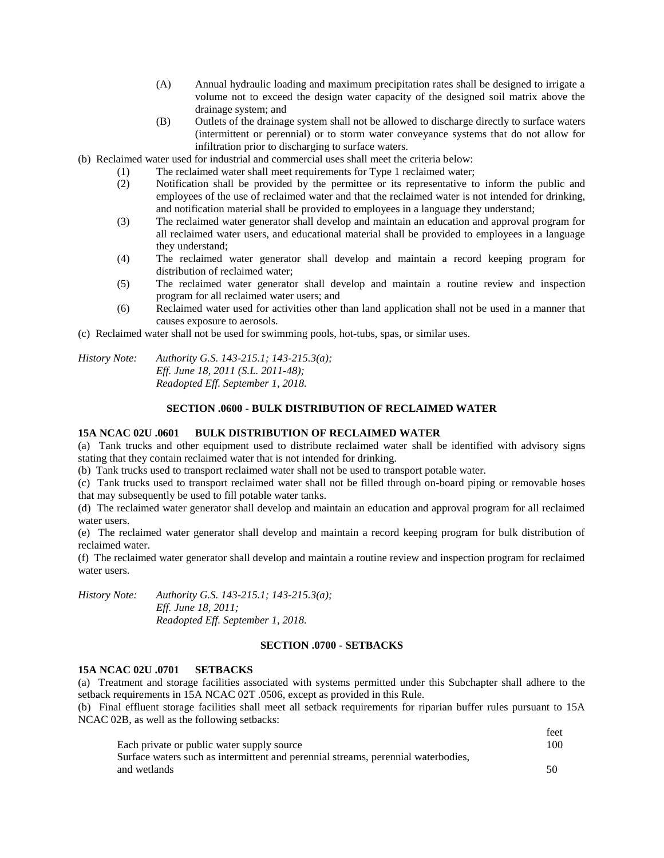- (A) Annual hydraulic loading and maximum precipitation rates shall be designed to irrigate a volume not to exceed the design water capacity of the designed soil matrix above the drainage system; and
- (B) Outlets of the drainage system shall not be allowed to discharge directly to surface waters (intermittent or perennial) or to storm water conveyance systems that do not allow for infiltration prior to discharging to surface waters.
- (b) Reclaimed water used for industrial and commercial uses shall meet the criteria below:
	- (1) The reclaimed water shall meet requirements for Type 1 reclaimed water;
	- (2) Notification shall be provided by the permittee or its representative to inform the public and employees of the use of reclaimed water and that the reclaimed water is not intended for drinking, and notification material shall be provided to employees in a language they understand;
	- (3) The reclaimed water generator shall develop and maintain an education and approval program for all reclaimed water users, and educational material shall be provided to employees in a language they understand;
	- (4) The reclaimed water generator shall develop and maintain a record keeping program for distribution of reclaimed water;
	- (5) The reclaimed water generator shall develop and maintain a routine review and inspection program for all reclaimed water users; and
	- (6) Reclaimed water used for activities other than land application shall not be used in a manner that causes exposure to aerosols.
- (c) Reclaimed water shall not be used for swimming pools, hot-tubs, spas, or similar uses.

*History Note: Authority G.S. 143-215.1; 143-215.3(a); Eff. June 18, 2011 (S.L. 2011-48); Readopted Eff. September 1, 2018.*

#### **SECTION .0600 - BULK DISTRIBUTION OF RECLAIMED WATER**

#### **15A NCAC 02U .0601 BULK DISTRIBUTION OF RECLAIMED WATER**

(a) Tank trucks and other equipment used to distribute reclaimed water shall be identified with advisory signs stating that they contain reclaimed water that is not intended for drinking.

(b) Tank trucks used to transport reclaimed water shall not be used to transport potable water.

(c) Tank trucks used to transport reclaimed water shall not be filled through on-board piping or removable hoses that may subsequently be used to fill potable water tanks.

(d) The reclaimed water generator shall develop and maintain an education and approval program for all reclaimed water users.

(e) The reclaimed water generator shall develop and maintain a record keeping program for bulk distribution of reclaimed water.

(f) The reclaimed water generator shall develop and maintain a routine review and inspection program for reclaimed water users.

*History Note: Authority G.S. 143-215.1; 143-215.3(a); Eff. June 18, 2011; Readopted Eff. September 1, 2018.*

### **SECTION .0700 - SETBACKS**

### **15A NCAC 02U .0701 SETBACKS**

(a) Treatment and storage facilities associated with systems permitted under this Subchapter shall adhere to the setback requirements in 15A NCAC 02T .0506, except as provided in this Rule.

(b) Final effluent storage facilities shall meet all setback requirements for riparian buffer rules pursuant to 15A NCAC 02B, as well as the following setbacks:

|                                                                                   | .   |
|-----------------------------------------------------------------------------------|-----|
| Each private or public water supply source                                        | 100 |
| Surface waters such as intermittent and perennial streams, perennial waterbodies, |     |
| and wetlands                                                                      | 50  |

feet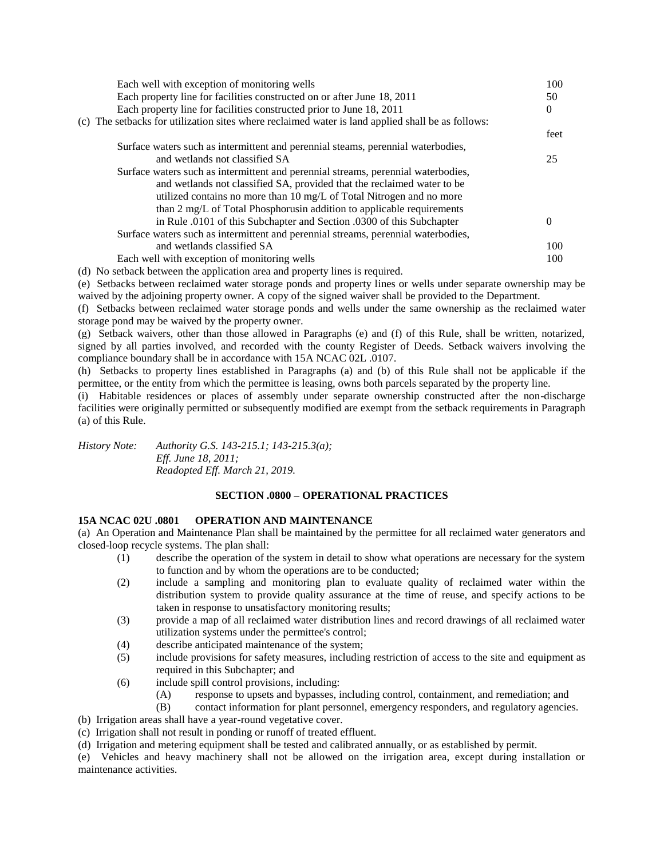| Each well with exception of monitoring wells                                                      | 100      |
|---------------------------------------------------------------------------------------------------|----------|
| Each property line for facilities constructed on or after June 18, 2011                           | 50       |
| Each property line for facilities constructed prior to June 18, 2011                              | $\Omega$ |
| (c) The setbacks for utilization sites where reclaimed water is land applied shall be as follows: |          |
|                                                                                                   | feet     |
| Surface waters such as intermittent and perennial steams, perennial waterbodies,                  |          |
| and wetlands not classified SA                                                                    | 25       |
| Surface waters such as intermittent and perennial streams, perennial waterbodies,                 |          |
| and wetlands not classified SA, provided that the reclaimed water to be                           |          |
| utilized contains no more than 10 mg/L of Total Nitrogen and no more                              |          |
| than 2 mg/L of Total Phosphorusin addition to applicable requirements                             |          |
| in Rule .0101 of this Subchapter and Section .0300 of this Subchapter                             |          |
| Surface waters such as intermittent and perennial streams, perennial waterbodies,                 |          |
| and wetlands classified SA                                                                        | 100      |
| Each well with exception of monitoring wells                                                      | 100      |
|                                                                                                   |          |

(d) No setback between the application area and property lines is required.

(e) Setbacks between reclaimed water storage ponds and property lines or wells under separate ownership may be waived by the adjoining property owner. A copy of the signed waiver shall be provided to the Department.

(f) Setbacks between reclaimed water storage ponds and wells under the same ownership as the reclaimed water storage pond may be waived by the property owner.

(g) Setback waivers, other than those allowed in Paragraphs (e) and (f) of this Rule, shall be written, notarized, signed by all parties involved, and recorded with the county Register of Deeds. Setback waivers involving the compliance boundary shall be in accordance with 15A NCAC 02L .0107.

(h) Setbacks to property lines established in Paragraphs (a) and (b) of this Rule shall not be applicable if the permittee, or the entity from which the permittee is leasing, owns both parcels separated by the property line.

(i) Habitable residences or places of assembly under separate ownership constructed after the non-discharge facilities were originally permitted or subsequently modified are exempt from the setback requirements in Paragraph (a) of this Rule.

*History Note: Authority G.S. 143-215.1; 143-215.3(a); Eff. June 18, 2011; Readopted Eff. March 21, 2019.*

## **SECTION .0800 – OPERATIONAL PRACTICES**

### **15A NCAC 02U .0801 OPERATION AND MAINTENANCE**

(a) An Operation and Maintenance Plan shall be maintained by the permittee for all reclaimed water generators and closed-loop recycle systems. The plan shall:

- (1) describe the operation of the system in detail to show what operations are necessary for the system to function and by whom the operations are to be conducted;
- (2) include a sampling and monitoring plan to evaluate quality of reclaimed water within the distribution system to provide quality assurance at the time of reuse, and specify actions to be taken in response to unsatisfactory monitoring results;
- (3) provide a map of all reclaimed water distribution lines and record drawings of all reclaimed water utilization systems under the permittee's control;
- (4) describe anticipated maintenance of the system;
- (5) include provisions for safety measures, including restriction of access to the site and equipment as required in this Subchapter; and
- (6) include spill control provisions, including:
	- (A) response to upsets and bypasses, including control, containment, and remediation; and
	- (B) contact information for plant personnel, emergency responders, and regulatory agencies.

(b) Irrigation areas shall have a year-round vegetative cover.

- (c) Irrigation shall not result in ponding or runoff of treated effluent.
- (d) Irrigation and metering equipment shall be tested and calibrated annually, or as established by permit.

(e) Vehicles and heavy machinery shall not be allowed on the irrigation area, except during installation or maintenance activities.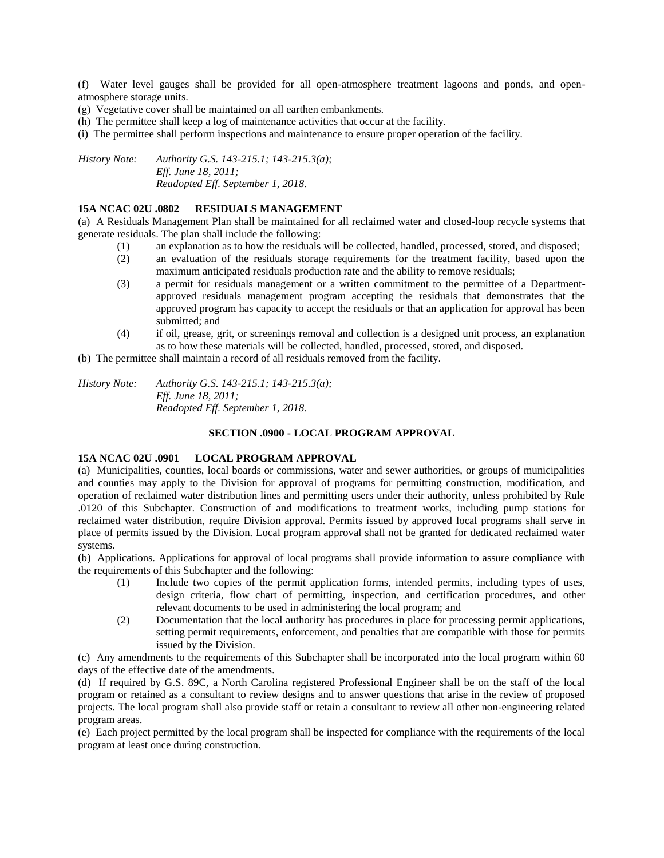(f) Water level gauges shall be provided for all open-atmosphere treatment lagoons and ponds, and openatmosphere storage units.

(g) Vegetative cover shall be maintained on all earthen embankments.

(h) The permittee shall keep a log of maintenance activities that occur at the facility.

(i) The permittee shall perform inspections and maintenance to ensure proper operation of the facility.

*History Note: Authority G.S. 143-215.1; 143-215.3(a); Eff. June 18, 2011; Readopted Eff. September 1, 2018.*

#### **15A NCAC 02U .0802 RESIDUALS MANAGEMENT**

(a) A Residuals Management Plan shall be maintained for all reclaimed water and closed-loop recycle systems that generate residuals. The plan shall include the following:

- (1) an explanation as to how the residuals will be collected, handled, processed, stored, and disposed;
- (2) an evaluation of the residuals storage requirements for the treatment facility, based upon the maximum anticipated residuals production rate and the ability to remove residuals;
- (3) a permit for residuals management or a written commitment to the permittee of a Departmentapproved residuals management program accepting the residuals that demonstrates that the approved program has capacity to accept the residuals or that an application for approval has been submitted; and
- (4) if oil, grease, grit, or screenings removal and collection is a designed unit process, an explanation as to how these materials will be collected, handled, processed, stored, and disposed.

(b) The permittee shall maintain a record of all residuals removed from the facility.

*History Note: Authority G.S. 143-215.1; 143-215.3(a); Eff. June 18, 2011; Readopted Eff. September 1, 2018.*

#### **SECTION .0900 - LOCAL PROGRAM APPROVAL**

#### **15A NCAC 02U .0901 LOCAL PROGRAM APPROVAL**

(a) Municipalities, counties, local boards or commissions, water and sewer authorities, or groups of municipalities and counties may apply to the Division for approval of programs for permitting construction, modification, and operation of reclaimed water distribution lines and permitting users under their authority, unless prohibited by Rule .0120 of this Subchapter. Construction of and modifications to treatment works, including pump stations for reclaimed water distribution, require Division approval. Permits issued by approved local programs shall serve in place of permits issued by the Division. Local program approval shall not be granted for dedicated reclaimed water systems.

(b) Applications. Applications for approval of local programs shall provide information to assure compliance with the requirements of this Subchapter and the following:

- (1) Include two copies of the permit application forms, intended permits, including types of uses, design criteria, flow chart of permitting, inspection, and certification procedures, and other relevant documents to be used in administering the local program; and
- (2) Documentation that the local authority has procedures in place for processing permit applications, setting permit requirements, enforcement, and penalties that are compatible with those for permits issued by the Division.

(c) Any amendments to the requirements of this Subchapter shall be incorporated into the local program within 60 days of the effective date of the amendments.

(d) If required by G.S. 89C, a North Carolina registered Professional Engineer shall be on the staff of the local program or retained as a consultant to review designs and to answer questions that arise in the review of proposed projects. The local program shall also provide staff or retain a consultant to review all other non-engineering related program areas.

(e) Each project permitted by the local program shall be inspected for compliance with the requirements of the local program at least once during construction.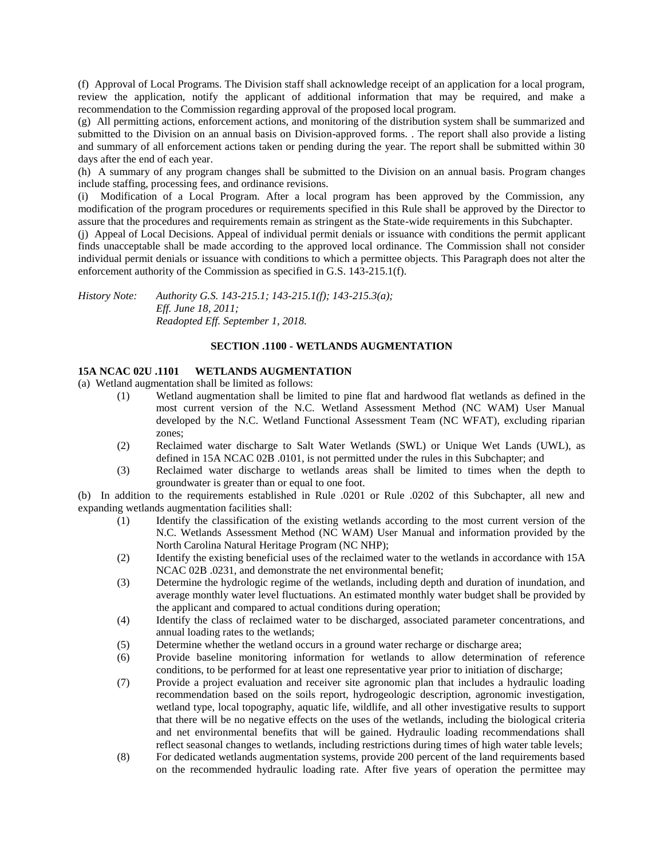(f) Approval of Local Programs. The Division staff shall acknowledge receipt of an application for a local program, review the application, notify the applicant of additional information that may be required, and make a recommendation to the Commission regarding approval of the proposed local program.

(g) All permitting actions, enforcement actions, and monitoring of the distribution system shall be summarized and submitted to the Division on an annual basis on Division-approved forms. . The report shall also provide a listing and summary of all enforcement actions taken or pending during the year. The report shall be submitted within 30 days after the end of each year.

(h) A summary of any program changes shall be submitted to the Division on an annual basis. Program changes include staffing, processing fees, and ordinance revisions.

(i) Modification of a Local Program. After a local program has been approved by the Commission, any modification of the program procedures or requirements specified in this Rule shall be approved by the Director to assure that the procedures and requirements remain as stringent as the State-wide requirements in this Subchapter.

(j) Appeal of Local Decisions. Appeal of individual permit denials or issuance with conditions the permit applicant finds unacceptable shall be made according to the approved local ordinance. The Commission shall not consider individual permit denials or issuance with conditions to which a permittee objects. This Paragraph does not alter the enforcement authority of the Commission as specified in G.S. 143-215.1(f).

*History Note: Authority G.S. 143-215.1; 143-215.1(f); 143-215.3(a); Eff. June 18, 2011; Readopted Eff. September 1, 2018.*

### **SECTION .1100 - WETLANDS AUGMENTATION**

### **15A NCAC 02U .1101 WETLANDS AUGMENTATION**

(a) Wetland augmentation shall be limited as follows:

- (1) Wetland augmentation shall be limited to pine flat and hardwood flat wetlands as defined in the most current version of the N.C. Wetland Assessment Method (NC WAM) User Manual developed by the N.C. Wetland Functional Assessment Team (NC WFAT), excluding riparian zones;
- (2) Reclaimed water discharge to Salt Water Wetlands (SWL) or Unique Wet Lands (UWL), as defined in 15A NCAC 02B .0101, is not permitted under the rules in this Subchapter; and
- (3) Reclaimed water discharge to wetlands areas shall be limited to times when the depth to groundwater is greater than or equal to one foot.

(b) In addition to the requirements established in Rule .0201 or Rule .0202 of this Subchapter, all new and expanding wetlands augmentation facilities shall:

- (1) Identify the classification of the existing wetlands according to the most current version of the N.C. Wetlands Assessment Method (NC WAM) User Manual and information provided by the North Carolina Natural Heritage Program (NC NHP);
- (2) Identify the existing beneficial uses of the reclaimed water to the wetlands in accordance with 15A NCAC 02B .0231, and demonstrate the net environmental benefit;
- (3) Determine the hydrologic regime of the wetlands, including depth and duration of inundation, and average monthly water level fluctuations. An estimated monthly water budget shall be provided by the applicant and compared to actual conditions during operation;
- (4) Identify the class of reclaimed water to be discharged, associated parameter concentrations, and annual loading rates to the wetlands;
- (5) Determine whether the wetland occurs in a ground water recharge or discharge area;
- (6) Provide baseline monitoring information for wetlands to allow determination of reference conditions, to be performed for at least one representative year prior to initiation of discharge;
- (7) Provide a project evaluation and receiver site agronomic plan that includes a hydraulic loading recommendation based on the soils report, hydrogeologic description, agronomic investigation, wetland type, local topography, aquatic life, wildlife, and all other investigative results to support that there will be no negative effects on the uses of the wetlands, including the biological criteria and net environmental benefits that will be gained. Hydraulic loading recommendations shall reflect seasonal changes to wetlands, including restrictions during times of high water table levels;
- (8) For dedicated wetlands augmentation systems, provide 200 percent of the land requirements based on the recommended hydraulic loading rate. After five years of operation the permittee may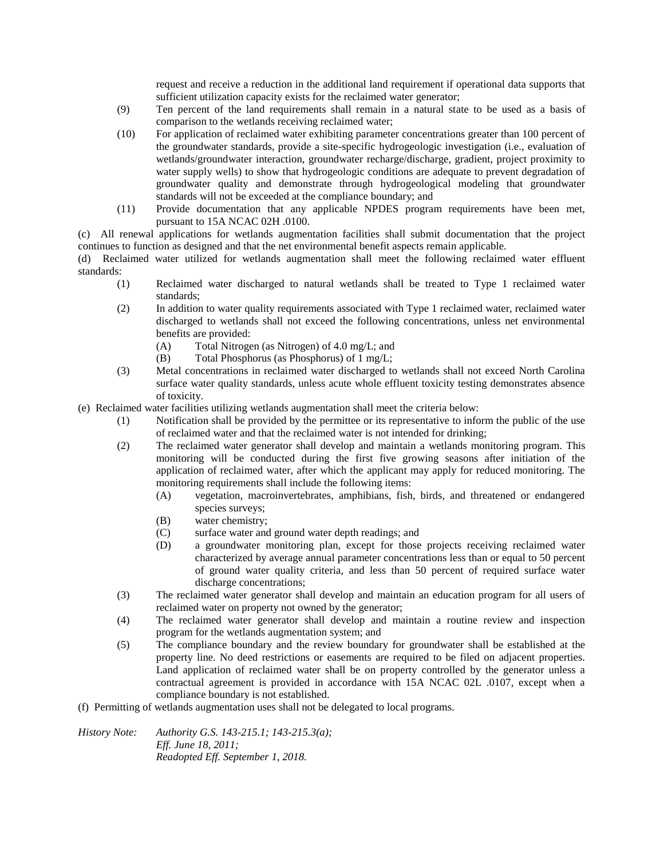request and receive a reduction in the additional land requirement if operational data supports that sufficient utilization capacity exists for the reclaimed water generator;

- (9) Ten percent of the land requirements shall remain in a natural state to be used as a basis of comparison to the wetlands receiving reclaimed water;
- (10) For application of reclaimed water exhibiting parameter concentrations greater than 100 percent of the groundwater standards, provide a site-specific hydrogeologic investigation (i.e., evaluation of wetlands/groundwater interaction, groundwater recharge/discharge, gradient, project proximity to water supply wells) to show that hydrogeologic conditions are adequate to prevent degradation of groundwater quality and demonstrate through hydrogeological modeling that groundwater standards will not be exceeded at the compliance boundary; and
- (11) Provide documentation that any applicable NPDES program requirements have been met, pursuant to 15A NCAC 02H .0100.

(c) All renewal applications for wetlands augmentation facilities shall submit documentation that the project continues to function as designed and that the net environmental benefit aspects remain applicable.

(d) Reclaimed water utilized for wetlands augmentation shall meet the following reclaimed water effluent standards:

- (1) Reclaimed water discharged to natural wetlands shall be treated to Type 1 reclaimed water standards;
- (2) In addition to water quality requirements associated with Type 1 reclaimed water, reclaimed water discharged to wetlands shall not exceed the following concentrations, unless net environmental benefits are provided:
	- (A) Total Nitrogen (as Nitrogen) of 4.0 mg/L; and
	- (B) Total Phosphorus (as Phosphorus) of 1 mg/L;
- (3) Metal concentrations in reclaimed water discharged to wetlands shall not exceed North Carolina surface water quality standards, unless acute whole effluent toxicity testing demonstrates absence of toxicity.
- (e) Reclaimed water facilities utilizing wetlands augmentation shall meet the criteria below:
	- (1) Notification shall be provided by the permittee or its representative to inform the public of the use of reclaimed water and that the reclaimed water is not intended for drinking;
	- (2) The reclaimed water generator shall develop and maintain a wetlands monitoring program. This monitoring will be conducted during the first five growing seasons after initiation of the application of reclaimed water, after which the applicant may apply for reduced monitoring. The monitoring requirements shall include the following items:
		- (A) vegetation, macroinvertebrates, amphibians, fish, birds, and threatened or endangered species surveys;
		- (B) water chemistry;
		- (C) surface water and ground water depth readings; and
		- (D) a groundwater monitoring plan, except for those projects receiving reclaimed water characterized by average annual parameter concentrations less than or equal to 50 percent of ground water quality criteria, and less than 50 percent of required surface water discharge concentrations;
	- (3) The reclaimed water generator shall develop and maintain an education program for all users of reclaimed water on property not owned by the generator;
	- (4) The reclaimed water generator shall develop and maintain a routine review and inspection program for the wetlands augmentation system; and
	- (5) The compliance boundary and the review boundary for groundwater shall be established at the property line. No deed restrictions or easements are required to be filed on adjacent properties. Land application of reclaimed water shall be on property controlled by the generator unless a contractual agreement is provided in accordance with 15A NCAC 02L .0107, except when a compliance boundary is not established.
- (f) Permitting of wetlands augmentation uses shall not be delegated to local programs.

*History Note: Authority G.S. 143-215.1; 143-215.3(a); Eff. June 18, 2011; Readopted Eff. September 1, 2018.*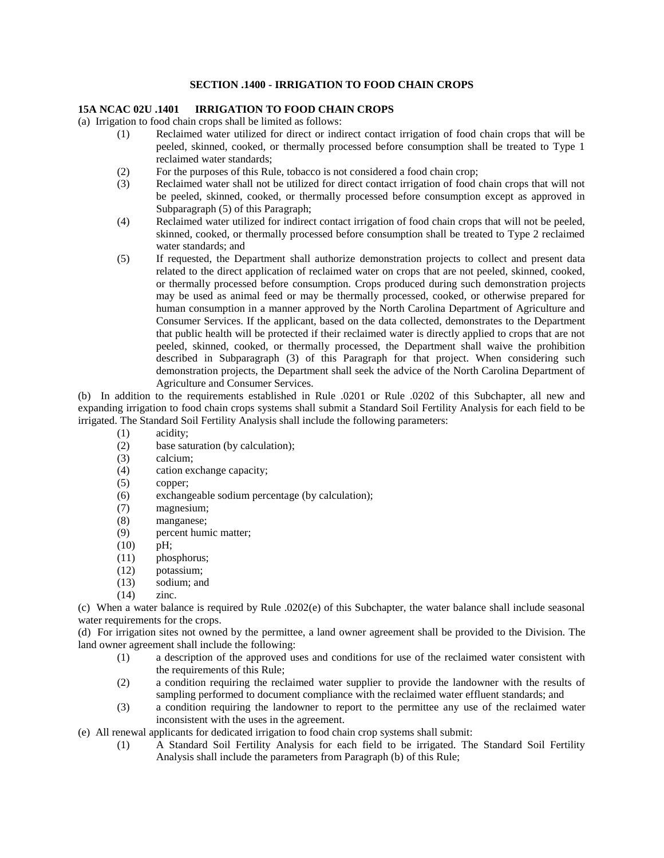### **SECTION .1400 - IRRIGATION TO FOOD CHAIN CROPS**

### **15A NCAC 02U .1401 IRRIGATION TO FOOD CHAIN CROPS**

(a) Irrigation to food chain crops shall be limited as follows:

- (1) Reclaimed water utilized for direct or indirect contact irrigation of food chain crops that will be peeled, skinned, cooked, or thermally processed before consumption shall be treated to Type 1 reclaimed water standards;
- (2) For the purposes of this Rule, tobacco is not considered a food chain crop;
- (3) Reclaimed water shall not be utilized for direct contact irrigation of food chain crops that will not be peeled, skinned, cooked, or thermally processed before consumption except as approved in Subparagraph (5) of this Paragraph;
- (4) Reclaimed water utilized for indirect contact irrigation of food chain crops that will not be peeled, skinned, cooked, or thermally processed before consumption shall be treated to Type 2 reclaimed water standards; and
- (5) If requested, the Department shall authorize demonstration projects to collect and present data related to the direct application of reclaimed water on crops that are not peeled, skinned, cooked, or thermally processed before consumption. Crops produced during such demonstration projects may be used as animal feed or may be thermally processed, cooked, or otherwise prepared for human consumption in a manner approved by the North Carolina Department of Agriculture and Consumer Services. If the applicant, based on the data collected, demonstrates to the Department that public health will be protected if their reclaimed water is directly applied to crops that are not peeled, skinned, cooked, or thermally processed, the Department shall waive the prohibition described in Subparagraph (3) of this Paragraph for that project. When considering such demonstration projects, the Department shall seek the advice of the North Carolina Department of Agriculture and Consumer Services.

(b) In addition to the requirements established in Rule .0201 or Rule .0202 of this Subchapter, all new and expanding irrigation to food chain crops systems shall submit a Standard Soil Fertility Analysis for each field to be irrigated. The Standard Soil Fertility Analysis shall include the following parameters:

- (1) acidity;
- (2) base saturation (by calculation);
- (3) calcium;
- (4) cation exchange capacity;
- (5) copper;
- (6) exchangeable sodium percentage (by calculation);
- (7) magnesium;
- (8) manganese;
- (9) percent humic matter;
- (10) pH;
- (11) phosphorus;
- (12) potassium;
- (13) sodium; and
- (14) zinc.

(c) When a water balance is required by Rule .0202(e) of this Subchapter, the water balance shall include seasonal water requirements for the crops.

(d) For irrigation sites not owned by the permittee, a land owner agreement shall be provided to the Division. The land owner agreement shall include the following:

- (1) a description of the approved uses and conditions for use of the reclaimed water consistent with the requirements of this Rule;
- (2) a condition requiring the reclaimed water supplier to provide the landowner with the results of sampling performed to document compliance with the reclaimed water effluent standards; and
- (3) a condition requiring the landowner to report to the permittee any use of the reclaimed water inconsistent with the uses in the agreement.
- (e) All renewal applicants for dedicated irrigation to food chain crop systems shall submit:
	- (1) A Standard Soil Fertility Analysis for each field to be irrigated. The Standard Soil Fertility Analysis shall include the parameters from Paragraph (b) of this Rule;